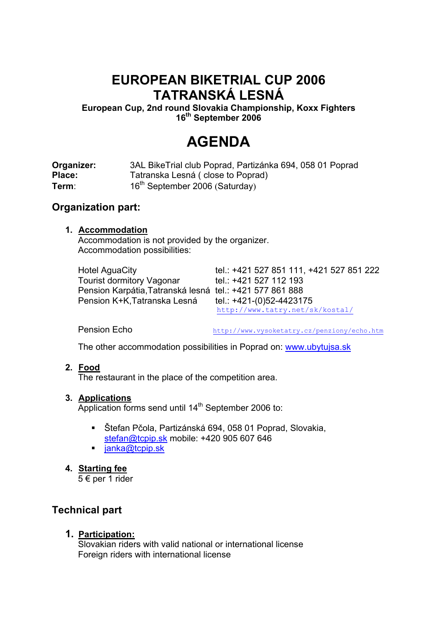## **EUROPEAN BIKETRIAL CUP 2006 TATRANSKÁ LESNÁ**

**European Cup, 2nd round Slovakia Championship, Koxx Fighters 16th September 2006** 

# **AGENDA**

**Organizer:** 3AL BikeTrial club Poprad, Partizánka 694, 058 01 Poprad Place: Tatranska Lesná ( close to Poprad) **Term**: 16<sup>th</sup> September 2006 (Saturday)

## **Organization part:**

### **1. Accommodation**

Accommodation is not provided by the organizer. Accommodation possibilities:

| <b>Hotel AguaCity</b>                                    | tel.: +421 527 851 111, +421 527 851 222 |
|----------------------------------------------------------|------------------------------------------|
| <b>Tourist dormitory Vagonar</b>                         | tel.: +421 527 112 193                   |
| Pension Karpátia, Tatranská lesná tel.: +421 577 861 888 |                                          |
| Pension K+K, Tatranska Lesná                             | tel.: +421-(0)52-4423175                 |
|                                                          | http://www.tatry.net/sk/kostal/          |

Pension Echo http://www.vysoketatry.cz/penziony/echo.htm

The other accommodation possibilities in Poprad on: www.ubytujsa.sk

### **2. Food**

The restaurant in the place of the competition area.

### **3. Applications**

Application forms send until 14<sup>th</sup> September 2006 to:

- Štefan Pčola, Partizánská 694, 058 01 Poprad, Slovakia, stefan@tcpip.sk mobile: +420 905 607 646
- $\blacksquare$  ianka@tcpip.sk

### **4. Starting fee**

5 € per 1 rider

## **Technical part**

### **1. Participation:**

Slovakian riders with valid national or international license Foreign riders with international license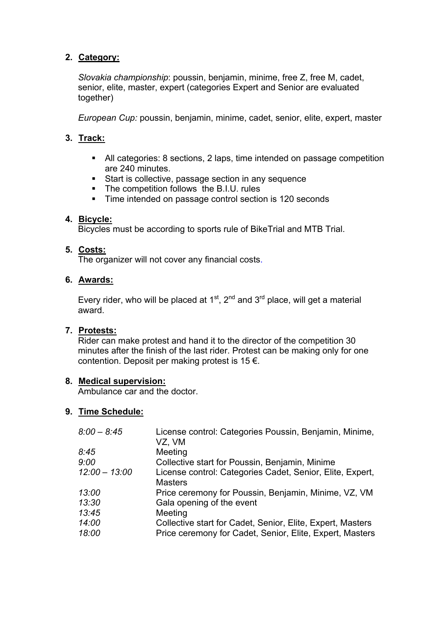## **2. Category:**

*Slovakia championship*: poussin, benjamin, minime, free Z, free M, cadet, senior, elite, master, expert (categories Expert and Senior are evaluated together)

*European Cup:* poussin, benjamin, minime, cadet, senior, elite, expert, master

## **3. Track:**

- All categories: 8 sections, 2 laps, time intended on passage competition are 240 minutes.
- **Start is collective, passage section in any sequence**
- The competition follows the B.I.U. rules
- Time intended on passage control section is 120 seconds

### **4. Bicycle:**

Bicycles must be according to sports rule of BikeTrial and MTB Trial.

### **5. Costs:**

The organizer will not cover any financial costs.

#### **6. Awards:**

Every rider, who will be placed at  $1<sup>st</sup>$ ,  $2<sup>nd</sup>$  and  $3<sup>rd</sup>$  place, will get a material award.

### **7. Protests:**

Rider can make protest and hand it to the director of the competition 30 minutes after the finish of the last rider. Protest can be making only for one contention. Deposit per making protest is  $15 \notin$ .

#### **8. Medical supervision:**

Ambulance car and the doctor.

### **9. Time Schedule:**

| License control: Categories Poussin, Benjamin, Minime,<br>VZ, VM            |
|-----------------------------------------------------------------------------|
| Meeting                                                                     |
| Collective start for Poussin, Benjamin, Minime                              |
| License control: Categories Cadet, Senior, Elite, Expert,<br><b>Masters</b> |
| Price ceremony for Poussin, Benjamin, Minime, VZ, VM                        |
| Gala opening of the event                                                   |
| Meeting                                                                     |
| Collective start for Cadet, Senior, Elite, Expert, Masters                  |
| Price ceremony for Cadet, Senior, Elite, Expert, Masters                    |
|                                                                             |